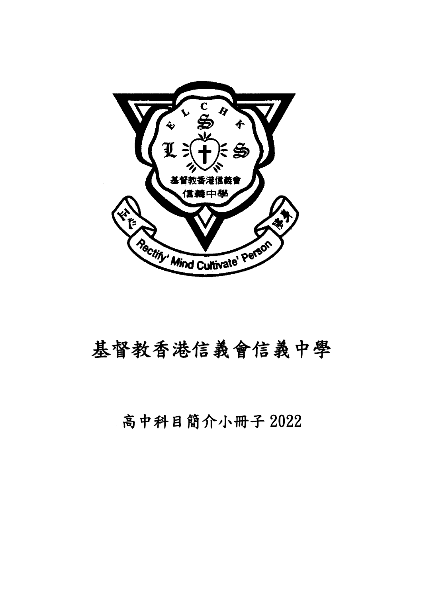

# 基督教香港信義會信義中學

# 高中科目簡介小冊子 2022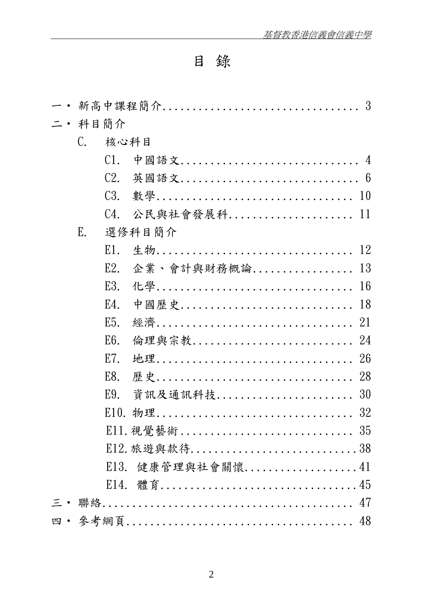# 目 錄

|  | 二 • 科目簡介        |                  |               |
|--|-----------------|------------------|---------------|
|  | $\mathcal{C}$ . | 核心科目             |               |
|  |                 | C1.              | 中國語文 4        |
|  |                 | C2.              | 英國語文 6        |
|  |                 | C <sub>3</sub> . |               |
|  |                 | C4.              | 公民與社會發展科 11   |
|  | E.              |                  | 選修科目簡介        |
|  |                 | E1.              | 生物 12         |
|  |                 | E <sub>2</sub>   | 企業、會計與財務概論 13 |
|  |                 | E3.              |               |
|  |                 | E4.              | 中國歷史 18       |
|  |                 | E5.              |               |
|  |                 | E <sub>6</sub>   | 倫理與宗教 24      |
|  |                 | E7.              |               |
|  |                 | E8.              |               |
|  |                 | E9.              | 資訊及通訊科技30     |
|  |                 |                  |               |
|  |                 |                  |               |
|  |                 |                  | E12. 旅遊與款待38  |
|  |                 | E13.             | 健康管理與社會關懷41   |
|  |                 | E14.             |               |
|  |                 |                  |               |
|  |                 |                  |               |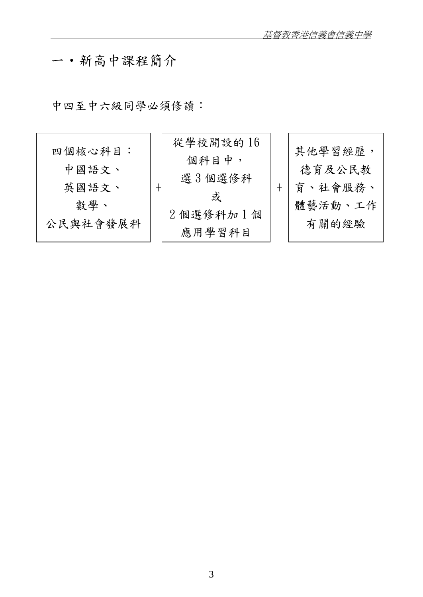# 一‧新高中課程簡介

中四至中六級同學必須修讀:

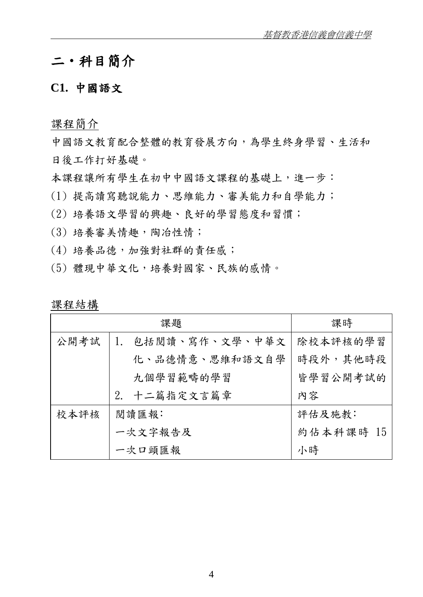# 二‧科目簡介

#### **C1.** 中國語文

課程簡介

中國語文教育配合整體的教育發展方向,為學生終身學習、生活和 日後工作打好基礎。

本課程讓所有學生在初中中國語文課程的基礎上,進一步:

(1) 提高讀寫聽說能力、思維能力、審美能力和自學能力;

(2) 培養語文學習的興趣、良好的學習態度和習慣;

- (3) 培養審美情趣,陶冶性情;
- (4) 培養品德,加強對社群的責任感;
- (5) 體現中華文化,培養對國家、民族的感情。

|      | 課題              | 課時        |  |
|------|-----------------|-----------|--|
| 公開考試 | 包括閱讀、寫作、文學、中華文  | 除校本評核的學習  |  |
|      | 化、品德情意、思維和語文自學  | 時段外,其他時段  |  |
|      | 九個學習範疇的學習       | 皆學習公開考試的  |  |
|      | 十二篇指定文言篇章<br>2. | 内容        |  |
| 校本評核 | 閱讀匯報:           | 評估及施教:    |  |
|      | 一次文字報告及         | 約佔本科課時 15 |  |
|      | 一次口頭匯報          | 小時        |  |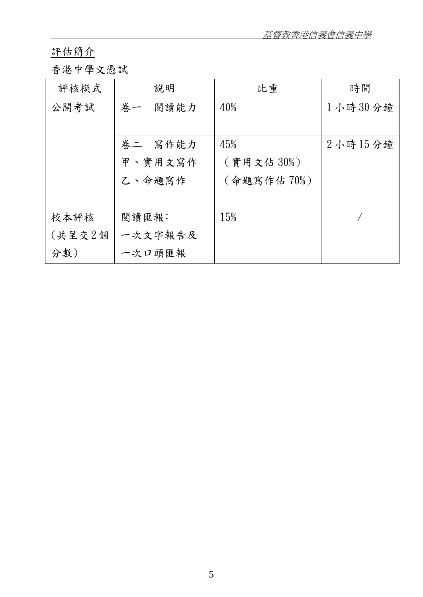基督教香港信義會信義中學

## 評估簡介

## 香港中學文憑試

| 評核模式   | 說明         | 比重         | 時間             |
|--------|------------|------------|----------------|
| 公開考試   | 閱讀能力<br>卷一 | 40%        | 1小時30分鐘        |
|        |            |            |                |
|        | 卷二 窝作能力    | 45%        | $2$ 小時 $15$ 分鐘 |
|        | 甲、實用文寫作    | (實用文佔30%)  |                |
|        | 乙、命題寫作     | (命題寫作佔70%) |                |
|        |            |            |                |
| 校本評核   | 閱讀匯報:      | 15%        |                |
| (共呈交2個 | 一次文字報告及    |            |                |
| 分數)    | 一次口頭匯報     |            |                |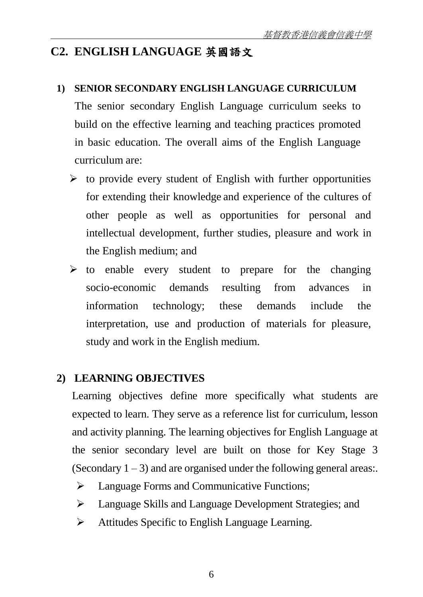## **C2. ENGLISH LANGUAGE** 英國語文

#### **1) SENIOR SECONDARY ENGLISH LANGUAGE CURRICULUM**

The senior secondary English Language curriculum seeks to build on the effective learning and teaching practices promoted in basic education. The overall aims of the English Language curriculum are:

- $\triangleright$  to provide every student of English with further opportunities for extending their knowledge and experience of the cultures of other people as well as opportunities for personal and intellectual development, further studies, pleasure and work in the English medium; and
- $\triangleright$  to enable every student to prepare for the changing socio-economic demands resulting from advances in information technology; these demands include the interpretation, use and production of materials for pleasure, study and work in the English medium.

## **2) LEARNING OBJECTIVES**

Learning objectives define more specifically what students are expected to learn. They serve as a reference list for curriculum, lesson and activity planning. The learning objectives for English Language at the senior secondary level are built on those for Key Stage 3 (Secondary  $1 - 3$ ) and are organised under the following general areas:.

- > Language Forms and Communicative Functions;
- Language Skills and Language Development Strategies; and
- Attitudes Specific to English Language Learning.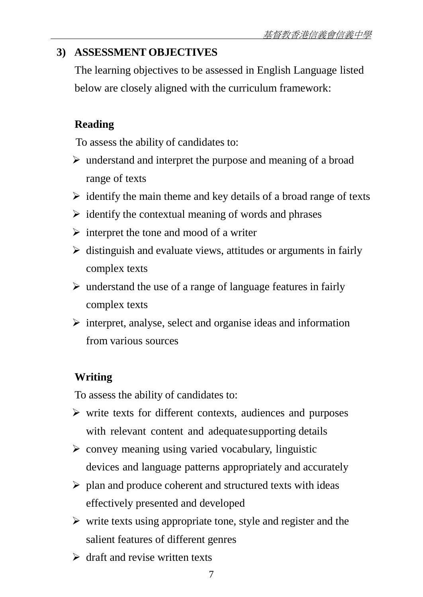## **3) ASSESSMENT OBJECTIVES**

The learning objectives to be assessed in English Language listed below are closely aligned with the curriculum framework:

## **Reading**

To assess the ability of candidates to:

- $\triangleright$  understand and interpret the purpose and meaning of a broad range of texts
- $\triangleright$  identify the main theme and key details of a broad range of texts
- $\triangleright$  identify the contextual meaning of words and phrases
- $\triangleright$  interpret the tone and mood of a writer
- $\triangleright$  distinguish and evaluate views, attitudes or arguments in fairly complex texts
- $\triangleright$  understand the use of a range of language features in fairly complex texts
- $\triangleright$  interpret, analyse, select and organise ideas and information from various sources

# **Writing**

To assess the ability of candidates to:

- $\triangleright$  write texts for different contexts, audiences and purposes with relevant content and adequate supporting details
- $\triangleright$  convey meaning using varied vocabulary, linguistic devices and language patterns appropriately and accurately
- $\triangleright$  plan and produce coherent and structured texts with ideas effectively presented and developed
- $\triangleright$  write texts using appropriate tone, style and register and the salient features of different genres
- $\triangleright$  draft and revise written texts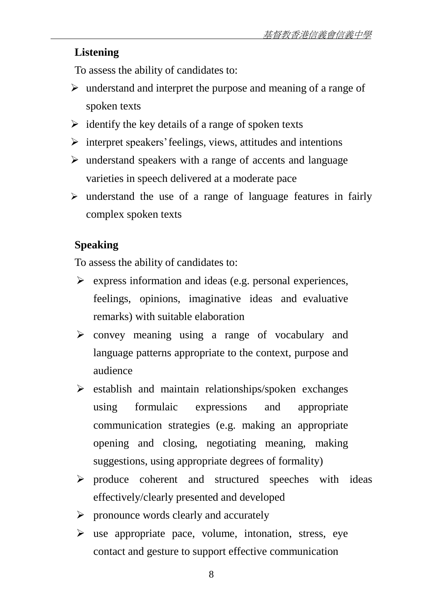## **Listening**

To assess the ability of candidates to:

- $\triangleright$  understand and interpret the purpose and meaning of a range of spoken texts
- $\triangleright$  identify the key details of a range of spoken texts
- $\triangleright$  interpret speakers' feelings, views, attitudes and intentions
- $\triangleright$  understand speakers with a range of accents and language varieties in speech delivered at a moderate pace
- $\triangleright$  understand the use of a range of language features in fairly complex spoken texts

## **Speaking**

To assess the ability of candidates to:

- $\triangleright$  express information and ideas (e.g. personal experiences, feelings, opinions, imaginative ideas and evaluative remarks) with suitable elaboration
- convey meaning using a range of vocabulary and language patterns appropriate to the context, purpose and audience
- $\triangleright$  establish and maintain relationships/spoken exchanges using formulaic expressions and appropriate communication strategies (e.g. making an appropriate opening and closing, negotiating meaning, making suggestions, using appropriate degrees of formality)
- $\triangleright$  produce coherent and structured speeches with ideas effectively/clearly presented and developed
- $\triangleright$  pronounce words clearly and accurately
- $\triangleright$  use appropriate pace, volume, intonation, stress, eye contact and gesture to support effective communication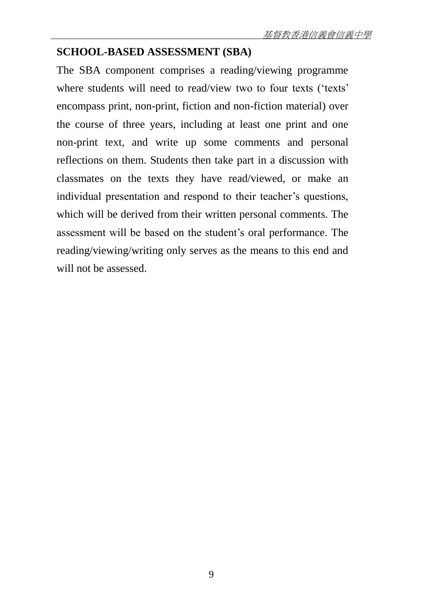## **SCHOOL-BASED ASSESSMENT (SBA)**

The SBA component comprises a reading/viewing programme where students will need to read/view two to four texts ('texts' encompass print, non-print, fiction and non-fiction material) over the course of three years, including at least one print and one non-print text, and write up some comments and personal reflections on them. Students then take part in a discussion with classmates on the texts they have read/viewed, or make an individual presentation and respond to their teacher's questions, which will be derived from their written personal comments. The assessment will be based on the student's oral performance. The reading/viewing/writing only serves as the means to this end and will not be assessed.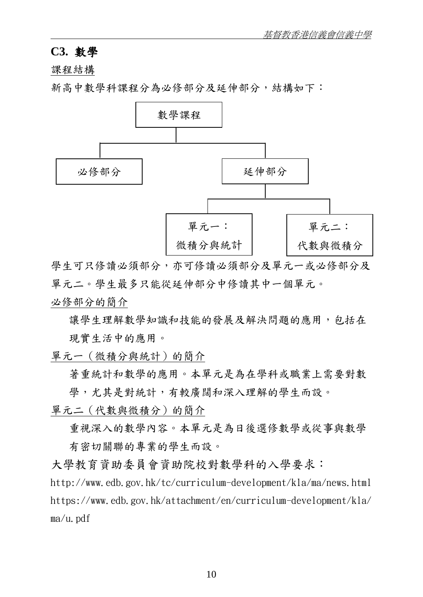#### **C3.** 數學

課程結構

新高中數學科課程分為必修部分及延伸部分,結構如下:



學生可只修讀必須部公須部分及單元一或必修部分及 單元二。學生最多只能從延伸部分中修讀其中一個單元。

必修部分的簡介

讓學生理解數學知識和技能的發展及解決問題的應用, 包括在 現實生活中的應用。

單元一(微積分與統計)的簡介

著重統計和數學的應用。本單元是為在學科或職業上需要對數 學,尤其是對統計,有較廣闊和深入理解的學生而設。

單元二(代數與微積分)的簡介

重視深入的數學內容。本單元是為日後選修數學或從事與數學 有密切關聯的專業的學生而設。

大學教育資助委員會資助院校對數學科的入學要求:

http://www.edb.gov.hk/tc/curriculum-development/kla/ma/news.html https://www.edb.gov.hk/attachment/en/curriculum-development/kla/ ma/u.pdf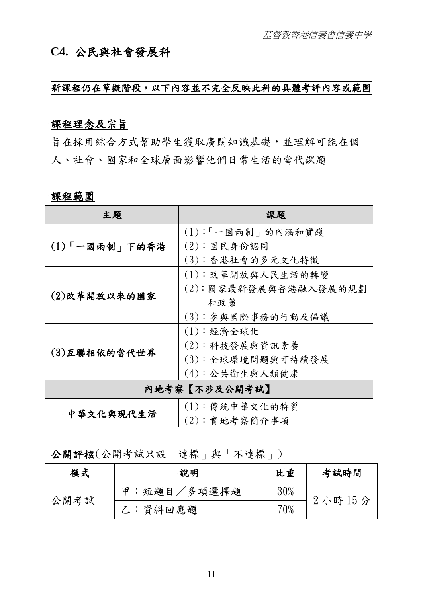## **C4.** 公民與社會發展科

#### 新課程仍在草擬階段,以下內容並不完全反映此科的具體考評內容或範圍

#### 課程理念及宗旨

旨在採用綜合方式幫助學生獲取廣闊知識基礎,並理解可能在個 人、社會、國家和全球層面影響他們日常生活的當代課題

#### 課程範圍

| 主題            | 課題                   |  |
|---------------|----------------------|--|
|               | (1):「一國兩制」的內涵和實踐     |  |
| (1)「一國兩制」下的香港 | (2):國民身份認同           |  |
|               | (3): 香港社會的多元文化特徵     |  |
|               | (1):改革開放與人民生活的轉變     |  |
| (2)改革開放以來的國家  | (2):國家最新發展與香港融入發展的規劃 |  |
|               | 和政策                  |  |
|               | (3): 參與國際事務的行動及倡議    |  |
|               | (1):經濟全球化            |  |
|               | (2):科技發展與資訊素養        |  |
| (3)互聯相依的當代世界  | (3):全球環境問題與可持續發展     |  |
|               | (4): 公共衛生與人類健康       |  |
| 内地考察【不涉及公開考試】 |                      |  |
|               | (1): 傳統中華文化的特質       |  |
| 中華文化與現代生活     | (2):實地考察簡介事項         |  |

## 公開評核(公開考試只設「達標」與「不達標」)

| 模式   | 說明              | 比重  | 考試時間   |  |
|------|-----------------|-----|--------|--|
| 公開考試 | :短題目/多項選擇題<br>田 | 30% |        |  |
|      | 乙:資料回應題         | 70% | 2小時15分 |  |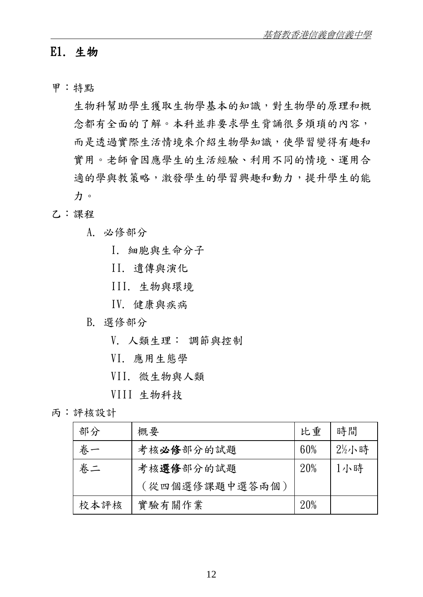## E1. 生物

甲:特點

生物科幫助學生獲取生物學基本的知識,對生物學的原理和概 念都有全面的了解。本科並非要求學生背誦很多煩瑣的內容, 而是透過實際生活情境來介紹生物學知識,使學習變得有趣和 實用。老師會因應學生的生活經驗、利用不同的情境、運用合 適的學與教策略,激發學生的學習興趣和動力,提升學生的能 力。

#### 乙:課程

- A. 必修部分
	- I. 細胞與生命分子
	- II. 遺傳與演化
	- III. 生物與環境
	- IV. 健康與疾病

#### B. 選修部分

- V. 人類生理: 調節與控制
- VI. 應用生態學
- VII. 微生物與人類
- VIII 生物科技

#### 丙:評核設計

| 部分   | 概要             | 比重  | 時間                |
|------|----------------|-----|-------------------|
| 卷一   | 考核必修部分的試題      | 60% | $2\frac{1}{2}$ 小時 |
| 卷二   | 考核選修部分的試題      | 20% | 1小時               |
|      | (從四個選修課題中選答兩個) |     |                   |
| 校本評核 | 實驗有關作業         | 20% |                   |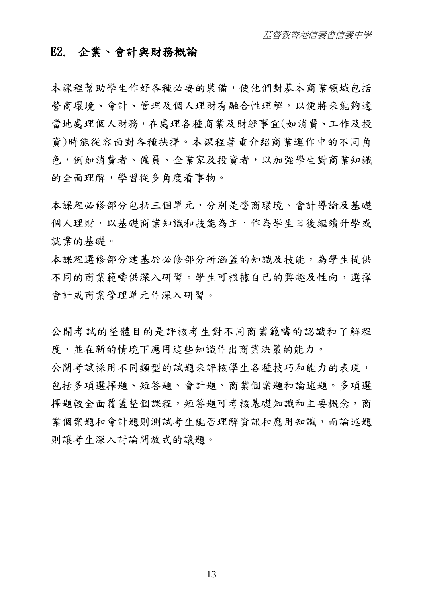#### E2. 企業、會計與財務概論

本課程幫助學生作好各種必要的裝備,使他們對基本商業領域包括 營商環境、會計、管理及個人理財有融合性理解,以便將來能夠適 當地處理個人財務,在處理各種商業及財經事宜(如消費、工作及投 資)時能從容面對各種抉擇。本課程著重介紹商業運作中的不同角 色,例如消費者、僱員、企業家及投資者,以加強學生對商業知識 的全面理解,學習從多角度看事物。

本課程必修部分包括三個單元,分別是營商環境、會計導論及基礎 個人理財,以基礎商業知識和技能為主,作為學生日後繼續升學或 就業的基礎。

本課程選修部分建基於必修部分所涵蓋的知識及技能,為學生提供 不同的商業範疇供深入研習。學生可根據自己的興趣及性向,選擇 會計或商業管理單元作深入研習。

公開考試的整體目的是評核考生對不同商業範疇的認識和了解程 度,並在新的情境下應用這些知識作出商業決策的能力。

公開考試採用不同類型的試題來評核學生各種技巧和能力的表現, 包括多項選擇題、短答題、會計題、商業個案題和論述題。多項選 擇題較全面覆蓋整個課程,短答題可考核基礎知識和主要概念,商 業個案題和會計題則測試考生能否理解資訊和應用知識,而論述題 則讓考生深入討論開放式的議題。

13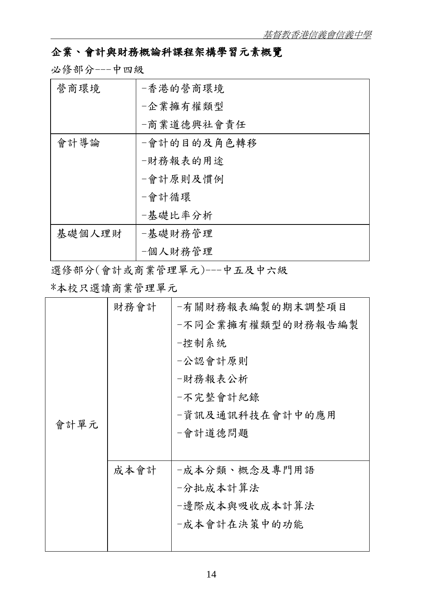## 企業、會計與財務概論科課程架構學習元素概覽

必修部分---中四級

| 營商環境   | -香港的營商環境    |
|--------|-------------|
|        | -企業擁有權類型    |
|        | -商業道德興社會責任  |
| 會計導論   | -會計的目的及角色轉移 |
|        | -財務報表的用途    |
|        | -會計原則及慣例    |
|        | -會計循環       |
|        | -基礎比率分析     |
| 基礎個人理財 | -基礎財務管理     |
|        | -個人財務管理     |

選修部分(會計或商業管理單元)---中五及中六級

\*本校只選讀商業管理單元

|      | 財務會計 | -有關財務報表編製的期末調整項目  |
|------|------|-------------------|
|      |      | -不同企業擁有權類型的財務報告編製 |
|      |      | 一控制系统             |
|      |      | -公認會計原則           |
|      |      | -財務報表公析           |
|      |      | 一不完整會計紀錄          |
|      |      | -資訊及通訊科技在會計中的應用   |
| 會計單元 |      | -會計道德問題           |
|      |      |                   |
|      | 成本會計 | -成本分類、概念及專門用語     |
|      |      | 一分批成本計算法          |
|      |      | -邊際成本與吸收成本計算法     |
|      |      | -成本會計在決策中的功能      |
|      |      |                   |
|      |      |                   |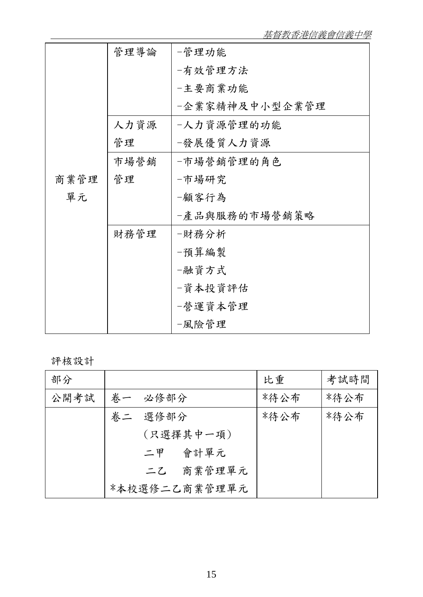|      | 管理導論 | -管理功能          |
|------|------|----------------|
|      |      | -有效管理方法        |
|      |      | -主要商業功能        |
|      |      | -企業家精神及中小型企業管理 |
|      | 人力資源 | -人力資源管理的功能     |
|      | 管理   | -發展優質人力資源      |
|      | 市場營銷 | -市場營銷管理的角色     |
| 商業管理 | 管理   | -市場研究          |
| 單元   |      | -顧客行為          |
|      |      | -產品與服務的市場營銷策略  |
|      | 財務管理 | -財務分析          |
|      |      | -預算編製          |
|      |      | -融資方式          |
|      |      | -資本投資評估        |
|      |      | -營運資本管理        |
|      |      | -風險管理          |

評核設計

| 部分   |               | 比重   | 考試時間 |
|------|---------------|------|------|
| 公開考試 | 养一 必修部分       | *待公布 | *待公布 |
|      | 卷二 選修部分       | *待公布 | *待公布 |
|      | (只選擇其中一項)     |      |      |
|      | 會計單元<br>二甲    |      |      |
|      | 二乙 商業管理單元     |      |      |
|      | *本校選修二乙商業管理單元 |      |      |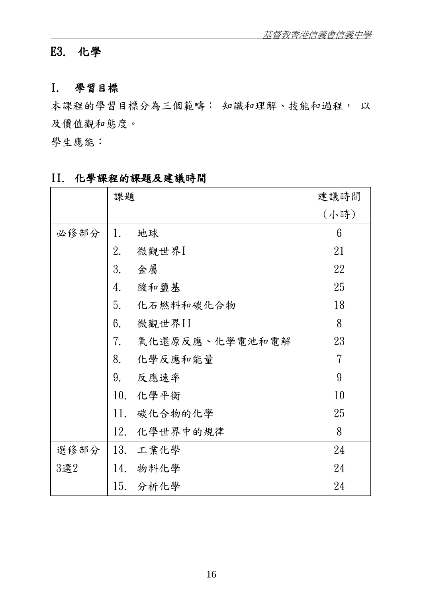# E3. 化學

#### I. 學習目標

本課程的學習目標分為三個範疇: 知識和理解、技能和過程, 以 及價值觀和態度。

學生應能:

|      | 課題  |                | 建議時間 |
|------|-----|----------------|------|
|      |     |                | (小時) |
| 必修部分 | 1.  | 地球             | 6    |
|      | 2.  | 微觀世界I          | 21   |
|      | 3.  | 金屬             | 22   |
|      | 4.  | 酸和鹽基           | 25   |
|      | 5.  | 化石燃料和碳化合物      | 18   |
|      | 6.  | 微觀世界II         | 8    |
|      | 7.  | 氧化還原反應、化學電池和電解 | 23   |
|      | 8.  | 化學反應和能量        | 7    |
|      | 9.  | 反應速率           | 9    |
|      | 10. | 化學平衡           | 10   |
|      | 11. | 碳化合物的化學        | 25   |
|      | 12. | 化學世界中的規律       | 8    |
| 選修部分 |     | 13. 工業化學       | 24   |
| 3選2  | 14. | 物料化學           | 24   |
|      |     | 15. 分析化學       | 24   |

## II. 化學課程的課題及建議時間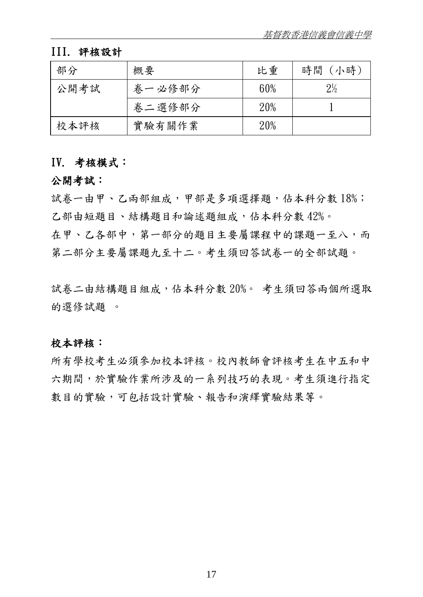## III. 評核設計

| 部分   | 概要     | 比重  | 時間 (小時)        |
|------|--------|-----|----------------|
| 公開考試 | 卷一必修部分 | 60% | $2\frac{1}{2}$ |
|      | 卷二選修部分 | 20% |                |
| 校本評核 | 實驗有關作業 | 20% |                |

#### IV. 考核模式:

#### 公開考試:

試卷一由甲、乙兩部組成,甲部是多項選擇題,佔本科分數 18%; 乙部由短題目、結構題目和論述題組成,佔本科分數 42%。

在甲、乙各部中,第一部分的題目主要屬課程中的課題一至八,而 第二部分主要屬課題九至十二。考生須回答試卷一的全部試題。

試卷二由結構題目組成,佔本科分數 20%。 考生須回答兩個所選取 的選修試題 。

#### 校本評核:

所有學校考生必須參加校本評核。校內教師會評核考生在中五和中 六期間,於實驗作業所涉及的一系列技巧的表現。考生須進行指定 數目的實驗,可包括設計實驗、報告和演繹實驗結果等。

17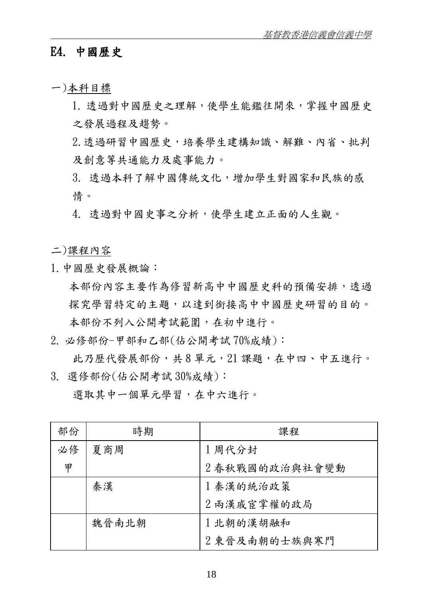## E4. 中國歷史

一)本科目標

- 1. 透過對中國歷史之理解,使學生能鑑往開來,掌握中國歷史 之發展過程及趨勢。
- 2.透過研習中國歷史,培養學生建構知識、解難、內省、批判 及創意等共通能力及處事能力。
- 3. 透過本科了解中國傳統文化,增加學生對國家和民族的感 情。
- 4. 透過對中國史事之分析,使學生建立正面的人生觀。

二)課程內容

1.中國歷史發展概論:

本部份內容主要作為修習新高中中國歷史科的預備安排,透過 探究學習特定的主題,以達到銜接高中中國歷史研習的目的。 本部份不列入公開考試範圍,在初中進行。

2. 必修部份-甲部和乙部(佔公開考試 70%成績):

此乃歷代發展部份,共 8 單元,21 課題,在中四、中五進行。 3. 選修部份(佔公開考試 30%成績):

選取其中一個單元學習,在中六進行。

| 部份 | 時期    | 課程            |
|----|-------|---------------|
| 必修 | 夏商周   | 1 周代分封        |
| 甲  |       | 2春秋戰國的政治與社會變動 |
|    | 秦漢    | 1 秦漢的統治政策     |
|    |       | 2 兩漢戚宦掌權的政局   |
|    | 魏晉南北朝 | 1北朝的漢胡融和      |
|    |       | 2 東晉及南朝的士族與寒門 |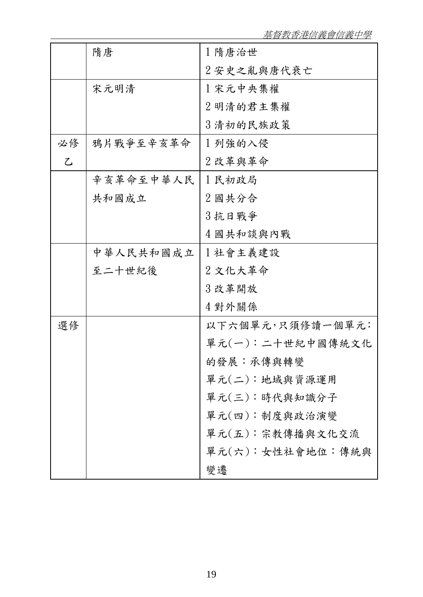基督教香港信義會信義中學

|               | 隋唐        | 1 隋唐治世           |
|---------------|-----------|------------------|
|               |           | 2安史之亂與唐代衰亡       |
|               | 宋元明清      | 1 宋元中央集權         |
|               |           | 2 明清的君主集權        |
|               |           | 3 清初的民族政策        |
| 必修            | 鴉片戰爭至辛亥革命 | 1列強的入侵           |
| $\mathcal{L}$ |           | 2改革與革命           |
|               | 辛亥革命至中華人民 | 1民初政局            |
|               | 共和國成立     | 2 國共分合           |
|               |           | 3 抗日戰爭           |
|               |           | 4 國共和談與內戰        |
|               | 中華人民共和國成立 | 1社會主義建設          |
|               | 至二十世紀後    | 2 文化大革命          |
|               |           | 3 改革開放           |
|               |           | 4 對外關係           |
| 選修            |           | 以下六個單元,只須修讀一個單元: |
|               |           | 單元(一):二十世紀中國傳統文化 |
|               |           | 的發展:承傳與轉變        |
|               |           | 單元(二):地域與資源運用    |
|               |           | 單元(三):時代與知識分子    |
|               |           | 單元(四): 制度與政治演變   |
|               |           | 單元(五):宗教傳播與文化交流  |
|               |           | 單元(六):女性社會地位:傳統與 |
|               |           | 變遷               |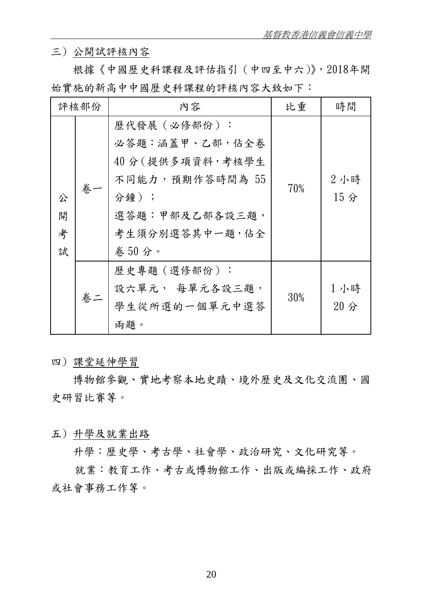三) 公開試評核內容

 根據《中國歷史科課程及評估指引(中四至中六)》,2018年開 始實施的新高中中國歷史科課程的評核內容大致如下:

|                  | 評核部份 | 内容                                                                                                                         | 比重  | 時間                     |
|------------------|------|----------------------------------------------------------------------------------------------------------------------------|-----|------------------------|
| 公<br>開<br>考<br>試 | 卷    | 歷代發展 (必修部份):<br>必答題:涵蓋甲、乙部,佔全卷<br>40分(提供多項資料,考核學生<br>不同能力,預期作答時間為 55<br>分鐘);<br>選答題:甲部及乙部各設三題,<br>考生須分別選答其中一題, 佔全<br>卷50分。 | 70% | 2小時<br>15 <sub>分</sub> |
|                  | 卷二   | 歷史專題(選修部份):<br>設六單元, 每單元各設三題,<br>學生從所選的一個單元中選答<br>兩題。                                                                      | 30% | 1小時<br>$20$ 分          |

四) 課堂延伸學習

 博物館參觀、實地考察本地史蹟、境外歷史及文化交流團、國 史研習比賽等。

五) 升學及就業出路

升學:歷史學、考古學、社會學、政治研究、文化研究等。

就業:教育工作、考古或博物館工作、出版或編採工作、政府 或社會事務工作等。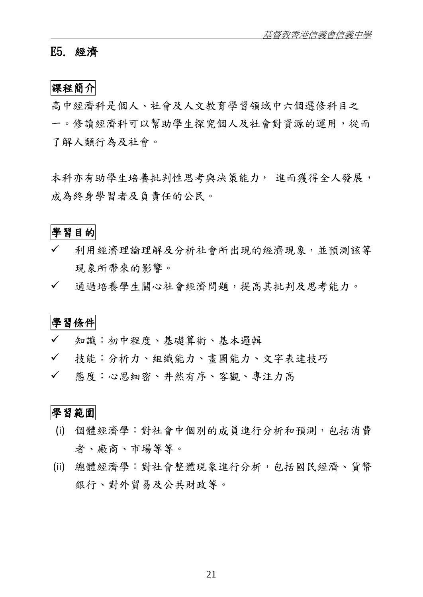#### E5. 經濟

#### 課程簡介

高中經濟科是個人、社會及人文教育學習領域中六個選修科目之 一。修讀經濟科可以幫助學生探究個人及社會對資源的運用,從而 了解人類行為及社會。

本科亦有助學生培養批判性思考與決策能力, 進而獲得全人發展, 成為終身學習者及負責任的公民。

#### 學習目的

- 利用經濟理論理解及分析社會所出現的經濟現象,並預測該等 現象所帶來的影響。
- ✔ 通過培養學生關心社會經濟問題,提高其批判及思考能力。

學習條件

- 知識:初中程度、基礎算術、基本邏輯
- 技能:分析力、組織能力、畫圖能力、文字表達技巧
- 態度:心思細密、井然有序、客觀、專注力高

## 學習範圍

- (i) 個體經濟學:對社會中個別的成員進行分析和預測,包括消費 者、廠商、市場等等。
- (ii) 總體經濟學:對社會整體現象進行分析,包括國民經濟、貨幣 銀行、對外貿易及公共財政等。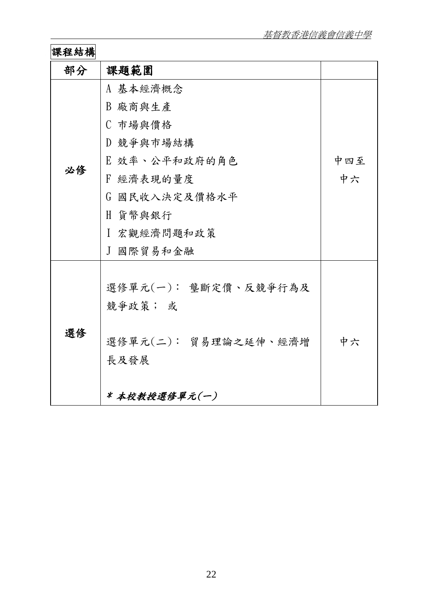# 課程結構

| 部分 | 課題範圍                 |     |
|----|----------------------|-----|
|    | A 基本經濟概念             |     |
|    | B 廠商與生產              |     |
|    | C 市場與價格              |     |
|    | D 競爭與市場結構            |     |
|    | E 效率、公平和政府的角色        | 中四至 |
| 必修 | F 經濟表現的量度            | 中六  |
|    | G 國民收入決定及價格水平        |     |
|    | H 貨幣與銀行              |     |
|    | Ⅰ 宏觀經濟問題和政策          |     |
|    | J 國際貿易和金融            |     |
|    |                      |     |
|    | 選修單元(一): 壟斷定價、反競爭行為及 |     |
|    | 競爭政策; 或              |     |
|    |                      |     |
| 選修 | 選修單元(二): 貿易理論之延伸、經濟增 | 中六  |
|    | 長及發展                 |     |
|    |                      |     |
|    | *本校教授選修單元(一)         |     |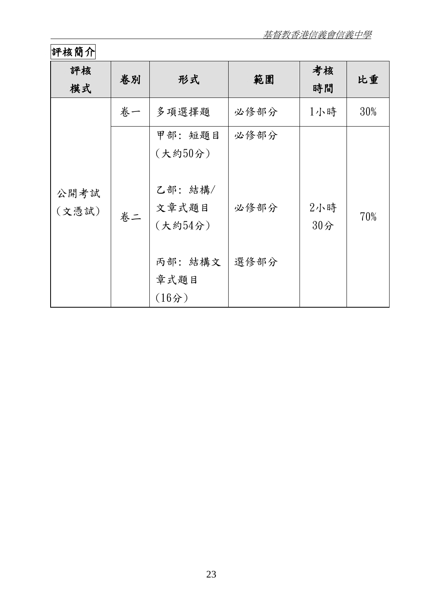# 評核簡介

| 評核<br>模式      | 卷別 | 形式                                                                          | 範圍                   | 考核<br>時間      | 比重  |
|---------------|----|-----------------------------------------------------------------------------|----------------------|---------------|-----|
|               | 卷一 | 多項選擇題                                                                       | 必修部分                 | 1小時           | 30% |
| 公開考試<br>(文憑試) | 卷二 | 甲部:短題目<br>(大約50分)<br>乙部: 結構/<br>文章式題目<br>(大約54分)<br>丙部: 結構文<br>章式題目<br>(16) | 必修部分<br>必修部分<br>選修部分 | 2小時<br>$30$ 分 | 70% |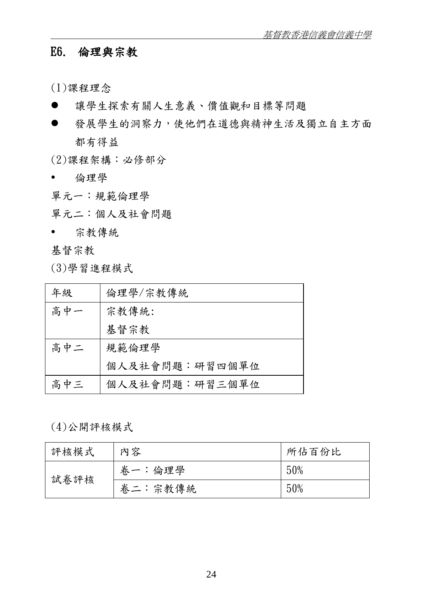## E6. 倫理與宗教

(1)課程理念

- 讓學生探索有關人生意義、價值觀和目標等問題
- 發展學生的洞察力,使他們在道德與精神生活及獨立自主方面 都有得益

(2)課程架構:必修部分

倫理學

單元一:規範倫理學

單元二:個人及社會問題

宗教傳統

基督宗教

(3)學習進程模式

| 年級  | 倫理學/宗教傳統       |
|-----|----------------|
| 高中一 | 宗教傳統:          |
|     | 基督宗教           |
| 高中二 | 規範倫理學          |
|     | 個人及社會問題:研習四個單位 |
| 高中三 | 個人及社會問題:研習三個單位 |

(4)公開評核模式

| 評核模式 | 內容      | 所佔百份比 |
|------|---------|-------|
| 試卷評核 | 卷一:倫理學  | 50%   |
|      | 卷二:宗教傳統 | 50%   |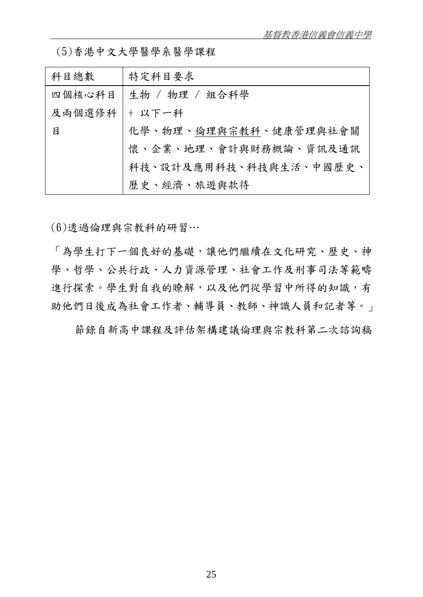| 科目總數   | 特定科目要求                         |
|--------|--------------------------------|
|        | 四個核心科目 生物 / 物理 / 組合科學          |
| 及兩個選修科 | + 以下一科                         |
| 目      | 化學、物理、 <u>倫理與宗教科</u> 、健康管理與社會關 |
|        | 懷、企業、地理、會計與財務概論、資訊及通訊          |
|        | 科技、設計及應用科技、科技與生活、中國歷史、         |
|        | 歷史、經濟、旅遊與款待                    |

(6)透過倫理與宗教科的研習…

「為學生打下一個良好的基礎,讓他們繼續在文化研究、歷史、神 學、哲學、公共行政、人力資源管理、社會工作及刑事司法等範疇 進行探索。學生對自我的瞭解,以及他們從學習中所得的知識,有 助他們日後成為社會工作者、輔導員、教師、神識人員和記者等。」

節錄自新高中課程及評估架構建議倫理與宗教科第二次諮詢稿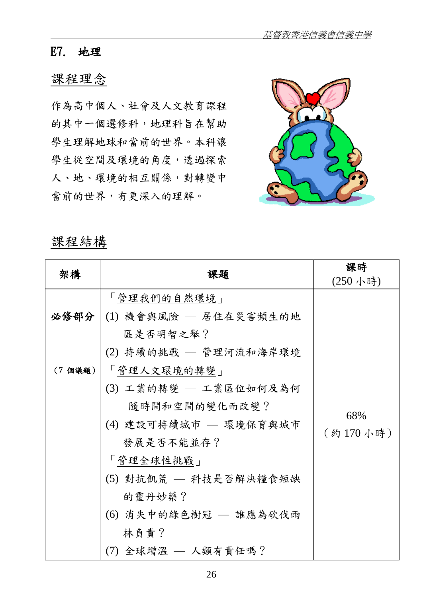### E7. 地理

## 課程理念

作為高中個人、社會及人文教育課程 的其中一個選修科,地理科旨在幫助 學生理解地球和當前的世界。本科讓 學生從空間及環境的角度,透過探索 人、地、環境的相互關係,對轉變中 當前的世界,有更深入的理解。



## 課程結構

| 架構      | 課題                           | 課時       |
|---------|------------------------------|----------|
|         |                              | (250小時)  |
|         | 「管理我們的自然環境」                  |          |
|         | 必修部分   (1) 機會與風險 — 居住在災害頻生的地 |          |
|         | 區是否明智之舉?                     |          |
|         | (2) 持續的挑戰 – 管理河流和海岸環境        |          |
| (7 個議題) | 「管理人文環境的轉變」                  |          |
|         | (3) 工業的轉變 — 工業區位如何及為何        |          |
|         | 隨時間和空間的變化而改變?                |          |
|         | (4) 建設可持續城市 — 環境保育與城市        | 68%      |
|         | 發展是否不能並存?                    | (約170小時) |
|         | 「管理全球性挑戰」                    |          |
|         | (5) 對抗飢荒 — 科技是否解決糧食短缺        |          |
|         | 的靈丹妙藥?                       |          |
|         | (6) 消失中的綠色樹冠 — 誰應為砍伐雨        |          |
|         | 林負責?                         |          |
|         | (7) 全球增溫 — 人類有責任嗎?           |          |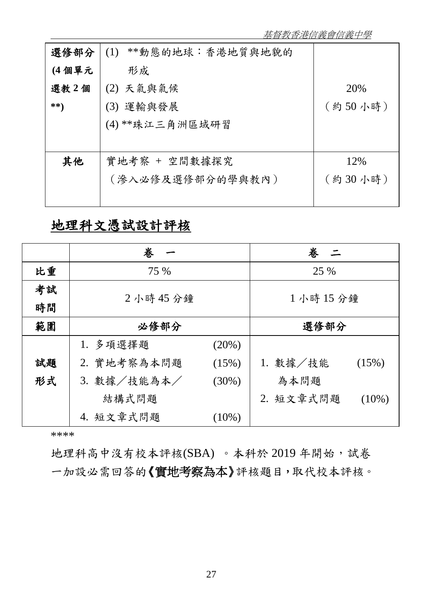| 選修部分  | **動態的地球:香港地質與地貌的<br>(1) |         |
|-------|-------------------------|---------|
| (4個單元 | 形成                      |         |
| 選教2個  | (2) 天氣與氣候               | 20%     |
| **)   | (3) 運輸與發展               | (約50小時) |
|       | (4) **珠江三角洲區域研習         |         |
|       |                         |         |
| 其他    | 實地考察 + 空間數據探究           | 12%     |
|       | (滲入必修及選修部分的學與教內)        | (約30小時) |
|       |                         |         |
|       |                         |         |

# 地理科文憑試設計評核

|    | 卷                       | 卷<br><u>_ -</u>       |
|----|-------------------------|-----------------------|
| 比重 | 75 %                    | 25 %                  |
| 考試 | 2小時45分鐘                 | 1小時15分鐘               |
| 時間 |                         |                       |
| 範圍 | 必修部分                    | 選修部分                  |
|    | 1. 多項選擇題<br>(20%)       |                       |
| 試題 | 2. 實地考察為本問題<br>(15%)    | 1. 數據/技能<br>(15%)     |
| 形式 | 3. 數據/技能為本/<br>$(30\%)$ | 為本問題                  |
|    | 結構式問題                   | 2. 短文章式問題<br>$(10\%)$ |
|    | 4. 短文章式問題<br>$(10\%)$   |                       |

\*\*\*\*

地理科高中沒有校本評核(SBA)。本科於 2019年開始,試卷 一加設必需回答的《實地考察為本》評核題目,取代校本評核。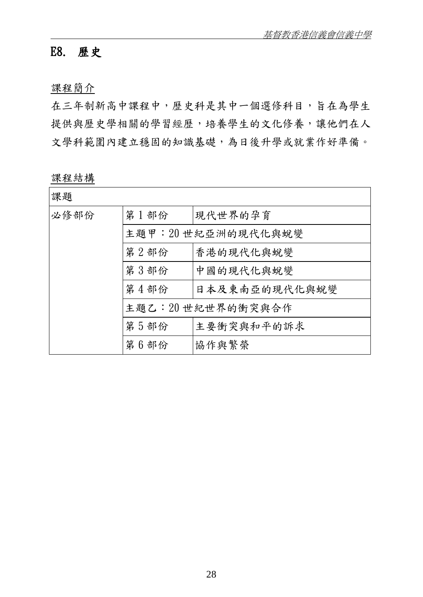## E8. 歷史

課程簡介

在三年制新高中課程中,歷史科是其中一個選修科目,旨在為學生 提供與歷史學相關的學習經歷,培養學生的文化修養,讓他們在人 文學科範圍內建立穩固的知識基礎,為日後升學或就業作好準備。

課程結構

| 課題   |      |                    |
|------|------|--------------------|
| 必修部份 | 第1部份 | 現代世界的孕育            |
|      |      | 主題甲: 20世紀亞洲的現代化與蛻變 |
|      | 第2部份 | 香港的現代化與蛻變          |
|      | 第3部份 | 中國的現代化與蛻變          |
|      | 第4部份 | 日本及東南亞的現代化與蛻變      |
|      |      | 主題乙:20世紀世界的衝突與合作   |
|      | 第5部份 | 主要衝突與和平的訴求         |
|      | 第6部份 | 協作與繁榮              |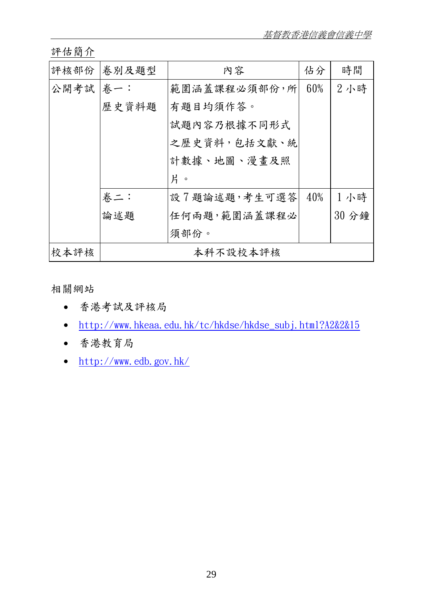評估簡介

|          | 評核部份 卷別及題型 | 內容           | 佔分     | 時間    |
|----------|------------|--------------|--------|-------|
| 公開考試 卷一: |            | 範圍涵蓋課程必須部份,所 | 60%    | 2小時   |
|          | 歷史資料題      | 有題目均須作答。     |        |       |
|          |            | 試題內容乃根據不同形式  |        |       |
|          |            | 之歷史資料,包括文獻、統 |        |       |
|          |            | 計數據、地圖、漫畫及照  |        |       |
|          |            | 片。           |        |       |
|          | 卷二:        | 設7題論述題,考生可選答 | $40\%$ | 1小時   |
|          | 論述題        | 任何兩題,範圍涵蓋課程必 |        | 30 分鐘 |
|          |            | 須部份。         |        |       |
| 校本評核     |            | 本科不設校本評核     |        |       |

相關網站

- 香港考試及評核局
- [http://www.hkeaa.edu.hk/tc/hkdse/hkdse\\_subj.html?A2&2&15](http://www.hkeaa.edu.hk/tc/hkdse/hkdse_subj.html?A2&2&15)
- 香港教育局
- <http://www.edb.gov.hk/>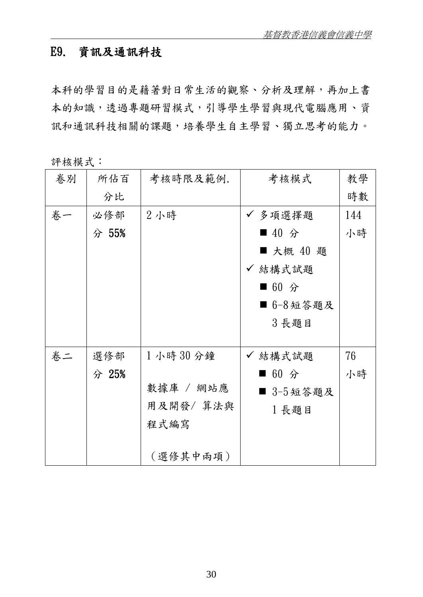## E9. 資訊及通訊科技

本科的學習目的是藉著對日常生活的觀察、分析及理解,再加上書 本的知識,透過專題研習模式,引導學生學習與現代電腦應用、資 訊和通訊科技相關的課題,培養學生自主學習、獨立思考的能力。

評核模式:

| 卷別 | 所佔百   | 考核時限及範例.  | 考核模式      | 教學  |
|----|-------|-----------|-----------|-----|
|    | 分比    |           |           | 時數  |
| 卷一 | 必修部   | 2小時       | ✔ 多項選擇題   | 144 |
|    | 分 55% |           | ■ 40 分    | 小時  |
|    |       |           | ■ 大概 40 題 |     |
|    |       |           | ✔ 結構式試題   |     |
|    |       |           | ■ 60 分    |     |
|    |       |           | ■ 6-8短答題及 |     |
|    |       |           | 3長題目      |     |
|    |       |           |           |     |
| 卷二 | 選修部   | 1小時30分鐘   | ✔ 結構式試題   | 76  |
|    | 分 25% |           | ■ 60 分    | 小時  |
|    |       | 數據庫 / 網站應 | ■ 3-5短答題及 |     |
|    |       | 用及開發/ 算法與 | 1 長題目     |     |
|    |       | 程式編寫      |           |     |
|    |       |           |           |     |
|    |       | (選修其中兩項)  |           |     |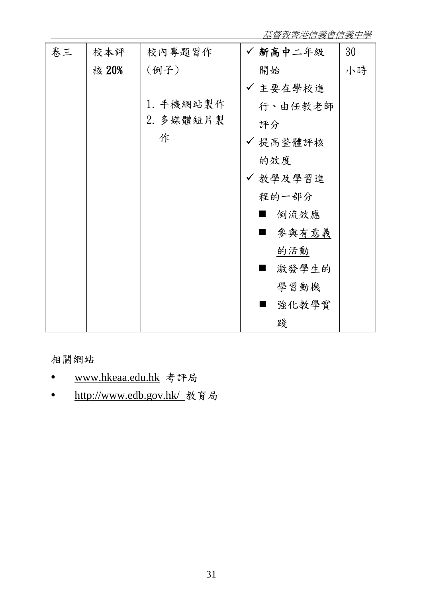基督教香港信義會信義中學

| 卷三 | 校本評   | 校內專題習作    | ✔ 新高中二年級                | 30 |
|----|-------|-----------|-------------------------|----|
|    | 核 20% | (例子)      | 開始                      | 小時 |
|    |       |           | ✔ 主要在學校進                |    |
|    |       | 1. 手機網站製作 | 行、由任教老師                 |    |
|    |       | 2. 多媒體短片製 | 評分                      |    |
|    |       | 作         | ✔ 提高整體評核                |    |
|    |       |           | 的效度                     |    |
|    |       |           | ✔ 教學及學習進                |    |
|    |       |           | 程的一部分                   |    |
|    |       |           | 倒流效應                    |    |
|    |       |           | 參與有意義                   |    |
|    |       |           | 的活動                     |    |
|    |       |           | 激發學生的                   |    |
|    |       |           | 學習動機                    |    |
|    |       |           | 強化教學實<br>$\blacksquare$ |    |
|    |       |           | 踐                       |    |

相關網站

- www.hkeaa.edu.hk 考評局
- http://www.edb.gov.hk/ 教育局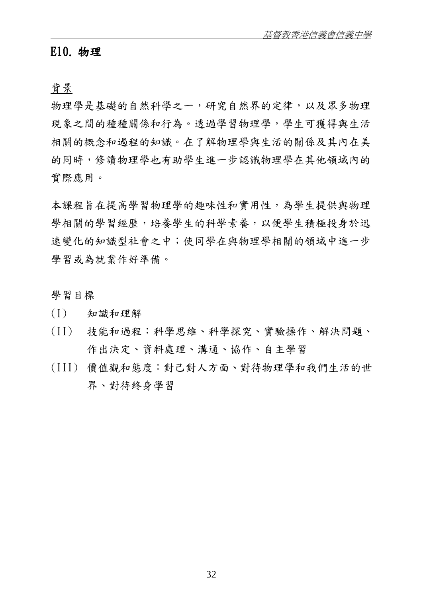#### E10. 物理

背景

物理學是基礎的自然科學之一,研究自然界的定律,以及眾多物理 現象之間的種種關係和行為。透過學習物理學,學生可獲得與生活 相關的概念和過程的知識。在了解物理學與生活的關係及其內在美 的同時,修讀物理學也有助學生進一步認識物理學在其他領域內的 實際應用。

本課程旨在提高學習物理學的趣味性和實用性,為學生提供與物理 學相關的學習經歷,培養學生的科學素養,以便學生積極投身於迅 速變化的知識型社會之中;使同學在與物理學相關的領域中進一步 學習或為就業作好準備。

學習目標

- (I) 知識和理解
- (II) 技能和過程:科學思維、科學探究、實驗操作、解決問題、 作出決定、資料處理、溝通、協作、自主學習
- (III) 價值觀和態度:對己對人方面、對待物理學和我們生活的世 界、對待終身學習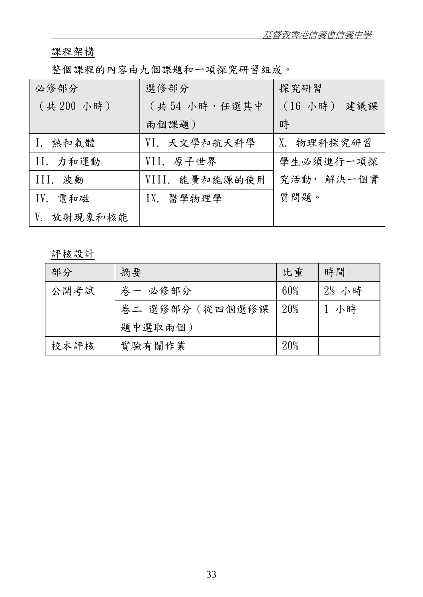## 課程架構

整個課程的內容由九個課題和一項探究研習組成。

| 必修部分          | 選修部分           | 探究研習        |
|---------------|----------------|-------------|
| (共200小時)      | (共54小時,任選其中    | (16 小時) 建議課 |
|               | 兩個課題)          | 時           |
| 熱和氣體          | VI. 天文學和航天科學   | X. 物理科探究研習  |
| II. 力和運動      | VII.原子世界       | 學生必須進行一項探   |
| III. 波動       | VIII. 能量和能源的使用 | 究活動, 解決一個實  |
| IV.<br>電和磁    | IX.<br>醫學物理學   | 質問題。        |
| 放射現象和核能<br>V. |                |             |

評核設計

| 部分   | 摘要              | 比重  | 時間    |
|------|-----------------|-----|-------|
| 公開考試 | 卷一 必修部分         | 60% | 2½ 小時 |
|      | 卷二 選修部分 (從四個選修課 | 20% | 小時    |
|      | 題中選取兩個)         |     |       |
| 校本評核 | 實驗有關作業          | 20% |       |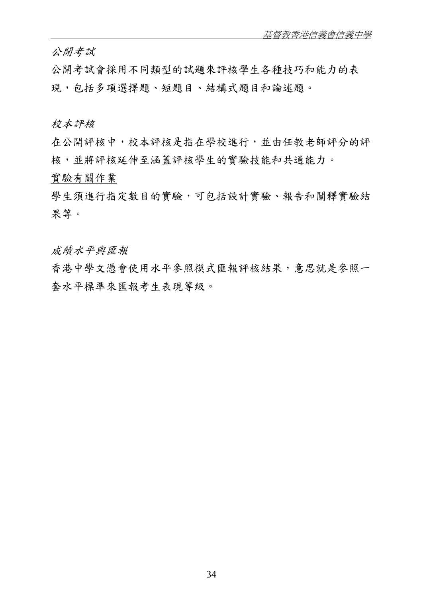公開考試

公開考試會採用不同類型的試題來評核學生各種技巧和能力的表 現,包括多項選擇題、短題目、結構式題目和論述題。

#### 校本評核

在公開評核中,校本評核是指在學校進行,並由任教老師評分的評 核,並將評核延伸至涵蓋評核學生的實驗技能和共通能力。

#### 實驗有關作業

學生須進行指定數目的實驗,可包括設計實驗、報告和闡釋實驗結 果等。

成績水平與匯報

香港中學文憑會使用水平參照模式匯報評核結果,意思就是參照一 套水平標準來匯報考生表現等級。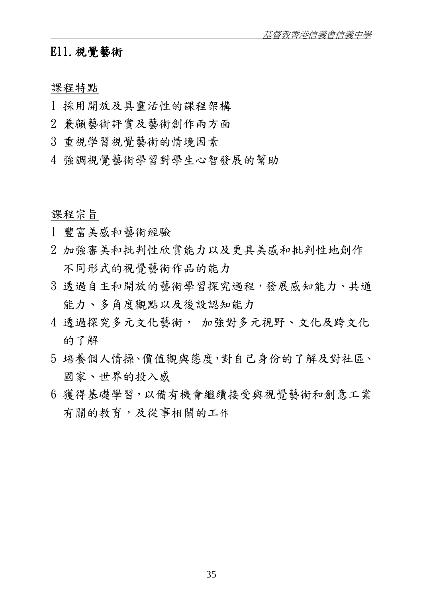## E11.視覺藝術

#### 課程特點

- 1 採用開放及具靈活性的課程架構
- 2 兼顧藝術評賞及藝術創作兩方面
- 3 重視學習視覺藝術的情境因素
- 4 強調視覺藝術學習對學生心智發展的幫助

#### 課程宗旨

- 1 豐富美感和藝術經驗
- 2 加強審美和批判性欣賞能力以及更具美感和批判性地創作 不同形式的視覺藝術作品的能力
- 3 透過自主和開放的藝術學習探究過程,發展感知能力、共通 能力、多角度觀點以及後設認知能力
- 4 透過探究多元火藝術, 加強對多元視野、文化及跨文化 的了解
- 5 培養個人情操、價值觀與態度,對自己身份的了解及對社區、 國家、世界的投入感
- 6 獲得基礎學習,以備有機會繼續接受與視覺藝術和創意工業 有關的教育,及從事相關的工作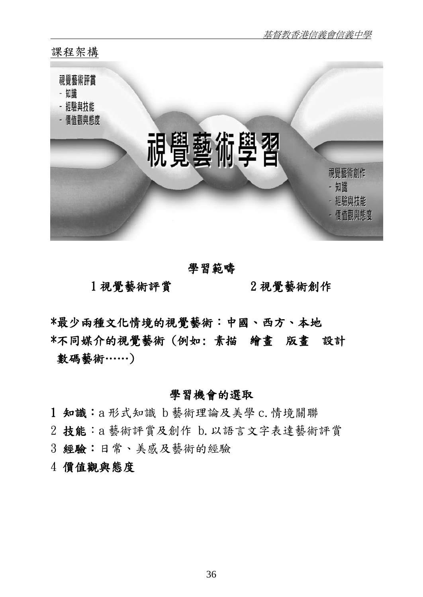

## 學習範疇

1 視覺藝術評賞 2 視覺藝術創作

\*最少兩種文化情境的視覺藝術:中國、西方、本地 \*不同媒介的視覺藝術 (例如: 素描 繪畫 版畫 設計 數碼藝術……)

#### 學習機會的選取

- 1 知識:a 形式知識 b 藝術理論及美學 c.情境關聯
- 2 技能:a 藝術評賞及創作 b.以語言文字表達藝術評賞
- 3 經驗:日常、美感及藝術的經驗

### 4 價值觀與態度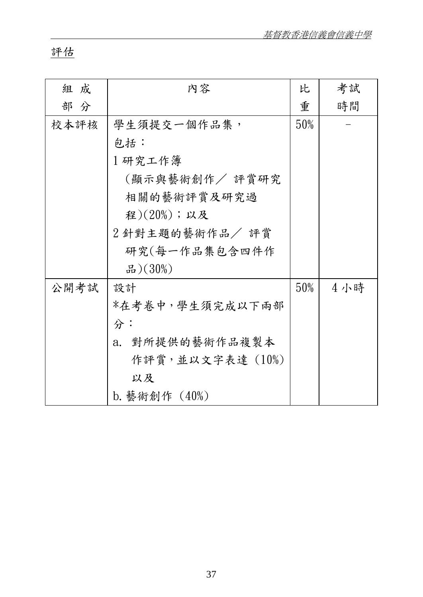## 評估

| 組 成  | 内容               | 比   | 考試  |
|------|------------------|-----|-----|
| 部分   |                  | 重   | 時間  |
| 校本評核 | 學生須提交一個作品集,      | 50% |     |
|      | 包括:              |     |     |
|      | 1研究工作簿           |     |     |
|      | (顯示與藝術創作/ 評賞研究   |     |     |
|      | 相關的藝術評賞及研究過      |     |     |
|      | 程 $)(20\%)$ ;以及  |     |     |
|      | 2 針對主題的藝術作品/ 評賞  |     |     |
|      | 研究(每一作品集包含四件作    |     |     |
|      | 品 $)(30%)$       |     |     |
| 公開考試 | 設計               | 50% | 4小時 |
|      | *在考卷中,學生須完成以下兩部  |     |     |
|      | 分:               |     |     |
|      | a. 對所提供的藝術作品複製本  |     |     |
|      | 作評賞,並以文字表達 (10%) |     |     |
|      | 以及               |     |     |
|      | b. 藝術創作(40%)     |     |     |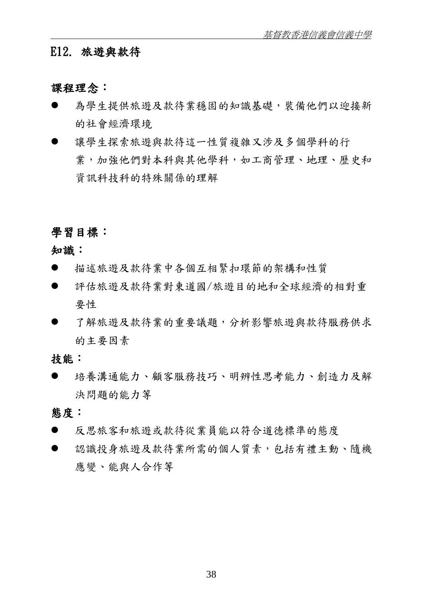## E12. 旅遊與款待

#### 課程理念:

- 為學生提供旅遊及款待業穩固的知識基礎,裝備他們以迎接新 的社會經濟環境
- 讓學生探索旅遊與款待這一性質複雜又涉及多個學科的行 業,加強他們對本科與其他學科,如工商管理、地理、歷史和 資訊科技科的特殊關係的理解

#### 學習目標:

知識:

- 描述旅遊及款待業中各個互相緊扣環節的架構和性質
- 評估旅遊及款待業對東道國/旅遊目的地和全球經濟的相對重 要性
- 了解旅遊及款待業的重要議題,分析影響旅遊與款待服務供求 的主要因素

技能:

 培養溝通能力、顧客服務技巧、明辨性思考能力、創造力及解 決問題的能力等

#### 態度:

- 反思旅客和旅遊或款待從業員能以符合道德標準的態度
- 認識投身旅遊及款待業所需的個人質素,包括有禮主動、隨機 應變、能與人合作等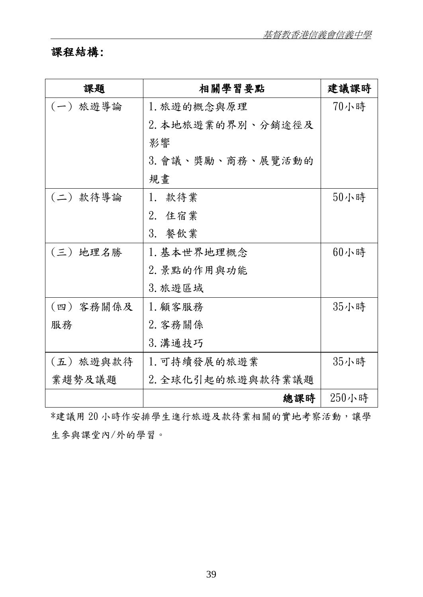## 課程結構:

| 課題        | 相關學習要點            | 建議課時  |
|-----------|-------------------|-------|
| (一) 旅遊導論  | 1. 旅遊的概念與原理       | 70小時  |
|           | 2. 本地旅遊業的界別、分銷途徑及 |       |
|           | 影響                |       |
|           | 3. 會議、獎勵、商務、展覽活動的 |       |
|           | 規書                |       |
| (二)款待導論   | 1.款待業             | 50小時  |
|           | 2. 住宿業            |       |
|           | 3. 餐飲業            |       |
| (三) 地理名勝  | 1. 基本世界地理概念       | 60小時  |
|           | 2. 景點的作用與功能       |       |
|           | 3. 旅遊區域           |       |
| (四) 客務關係及 | 1. 顧客服務           | 35小時  |
| 服務        | 2. 客務關係           |       |
|           | 3. 溝通技巧           |       |
| (五) 旅遊與款待 | 1. 可持續發展的旅遊業      | 35小時  |
| 業趨勢及議題    | 2. 全球化引起的旅遊與款待業議題 |       |
|           | 總課時               | 250小時 |

\*建議用 20 小時作安排學生進行旅遊及款待業相關的實地考察活動,讓學 生參與課堂內/外的學習。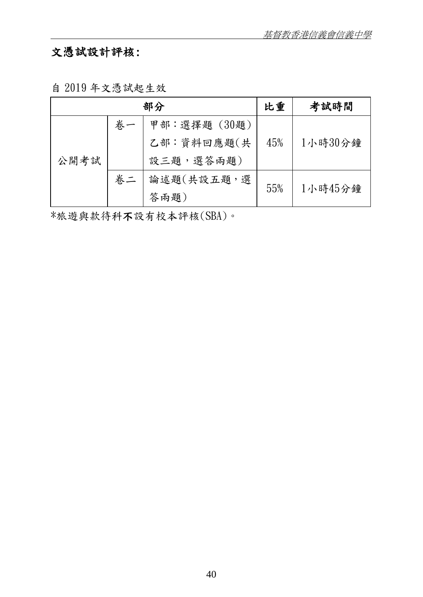# 文憑試設計評核:

自 2019 年文憑試起生效

| 部分   |    |              | 比重  | 考試時間    |
|------|----|--------------|-----|---------|
|      | 卷一 | 甲部:選擇題 (30題) |     |         |
|      |    | 乙部:資料回應題(共   | 45% | 1小時30分鐘 |
| 公開考試 |    | 設三題,選答兩題)    |     |         |
|      | 卷二 | 論述題(共設五題,選   | 55% | 1小時45分鐘 |
|      |    | 答兩題)         |     |         |

\*旅遊與款待科不設有校本評核(SBA)。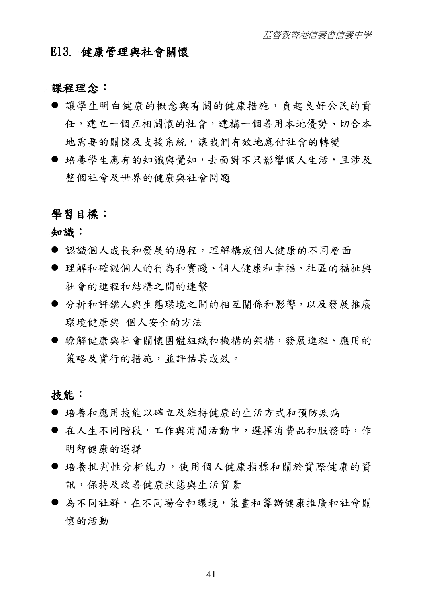#### E13. 健康管理與社會關懷

#### 課程理念:

- 讓學生明白健康的概念與有關的健康措施, 自起良好公民的責 任,建立一個互相關懷的社會,建構一個善用本地優勢、切合本 地需要的關懷及支援系統,讓我們有效地應付社會的轉變
- 培養學生應有的知識與覺知,去面對不只影響個人生活,且涉及 整個社會及世界的健康與社會問題

#### 學習目標:

知識:

- 認識個人成長和發展的過程,理解構成個人健康的不同層面
- 理解和確認個人的行為和實踐、個人健康和幸福、社區的福祉與 社會的進程和結構之間的連繫
- 分析和評鑑人與生態環境之間的相互關係和影響,以及發展推廣 環境健康與 個人安全的方法
- 膝解健康與社會關懷團體組織和機構的架構,發展進程、應用的 策略及實行的措施,並評估其成效。

#### 技能:

- 培養和應用技能以確立及維持健康的生活方式和預防疾病
- 在人生不同階段,工作與消閒活動中,選擇消費品和服務時,作 明智健康的選擇
- 培養批判性分析能力,使用個人健康指標和關於實際健康的資 訊,保持及改善健康狀態與生活質素
- 為不同社群,在不同場合和環境,策書和籌辦健康推廣和社會關 懷的活動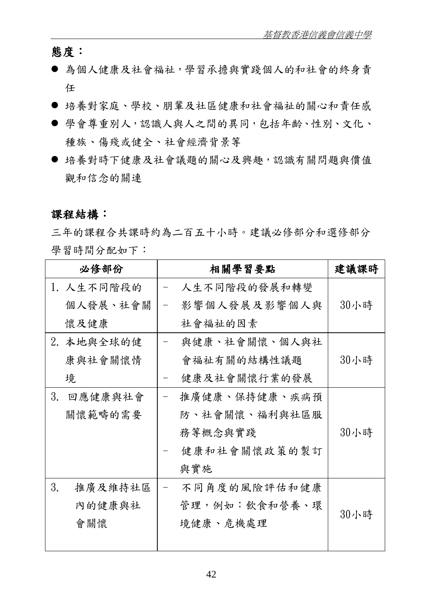態度:

- 為個人健康及社會福祉,學習承擔與實踐個人的和社會的終身責 任
- 培養對家庭、學校、朋輩及社區健康和社會福祉的關心和責任感
- 學會尊重別人,認識人與人之間的異同, 包括年齡、性別、文化、 種族、傷殘或健全、社會經濟背景等
- 培養對時下健康及社會議題的關心及興趣,認識有關問題與價值 觀和信念的關連

#### 課程結構:

三年的課程合共課時約為二百五十小時。建議必修部分和選修部分 學習時間分配如下:

|    | 必修部份       |                   | 相關學習要點        | 建議課時 |
|----|------------|-------------------|---------------|------|
|    | 1. 人生不同階段的 |                   | 人生不同階段的發展和轉變  |      |
|    | 個人發展、社會關   | $\qquad \qquad -$ | 影響個人發展及影響個人與  | 30小時 |
|    | 懷及健康       |                   | 社會福祉的因素       |      |
|    | 2. 本地與全球的健 |                   | 與健康、社會關懷、個人與社 |      |
|    | 康與社會關懷情    |                   | 會福祉有關的結構性議題   | 30小時 |
|    | 境          |                   | 健康及社會關懷行業的發展  |      |
| 3. | 回應健康與社會    |                   | 推廣健康、保持健康、疾病預 |      |
|    | 關懷範疇的需要    |                   | 防、社會關懷、福利與社區服 |      |
|    |            |                   | 務等概念與實踐       | 30小時 |
|    |            |                   | 健康和社會關懷政策的製訂  |      |
|    |            |                   | 與實施           |      |
| 3. | 推廣及維持社區    |                   | 不同角度的風險評估和健康  |      |
|    | 內的健康與社     |                   | 管理,例如:飲食和營養、環 | 30小時 |
|    | 會關懷        |                   | 境健康、危機處理      |      |
|    |            |                   |               |      |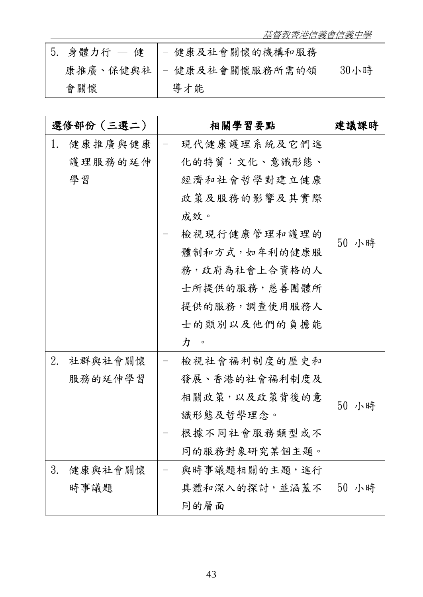基督教香港信義會信義中學

| $5.$ 身體力行 $-$ | 健 - 健康及社會關懷的機構和服務                         |      |
|---------------|-------------------------------------------|------|
| 康推廣、保健與社      | 健康及社會關懷服務所需的領<br>$\overline{\phantom{m}}$ | 30小時 |
| 會關懷           | 導才能                                       |      |

| 選修部份(三選二)     |                          | 相關學習要點         | 建議課時  |
|---------------|--------------------------|----------------|-------|
| 健康推廣與健康<br>1. |                          | 現代健康護理系統及它們進   |       |
| 護理服務的延伸       |                          | 化的特質:文化、意識形態、  |       |
| 學習            |                          | 經濟和社會哲學對建立健康   |       |
|               |                          | 政策及服務的影響及其實際   |       |
|               |                          | 成效。            |       |
|               |                          | 檢視現行健康管理和護理的   | 50 小時 |
|               |                          | 體制和方式, 如牟利的健康服 |       |
|               |                          | 務,政府為社會上合資格的人  |       |
|               |                          | 士所提供的服務,慈善團體所  |       |
|               |                          | 提供的服務,調查使用服務人  |       |
|               |                          | 士的類別以及他們的負擔能   |       |
|               |                          | 力。             |       |
| 2.<br>社群與社會關懷 | $\overline{\phantom{0}}$ | 檢視社會福利制度的歷史和   |       |
| 服務的延伸學習       |                          | 發展、香港的社會福利制度及  |       |
|               |                          | 相關政策,以及政策背後的意  | 50 小時 |
|               |                          | 識形態及哲學理念。      |       |
|               |                          | 根據不同社會服務類型或不   |       |
|               |                          | 同的服務對象研究某個主題。  |       |
| 3.<br>健康與社會關懷 |                          | 與時事議題相關的主題,進行  |       |
| 時事議題          |                          | 具體和深入的探討,並涵蓋不  | 50 小時 |
|               |                          | 同的層面           |       |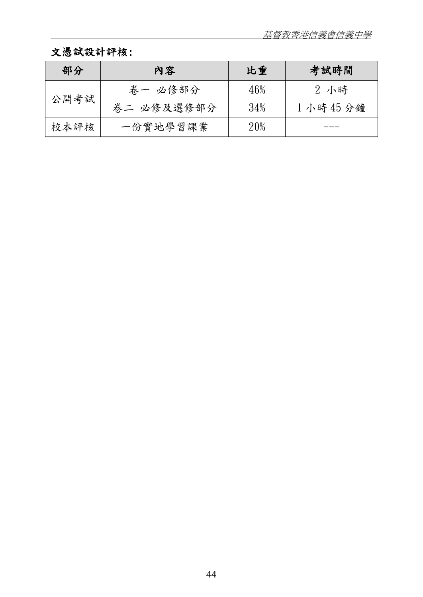## 文憑試設計評核:

| 部分   | 内容         | 比重  | 考試時間    |
|------|------------|-----|---------|
| 公開考試 | 卷一 必修部分    | 46% | 2 小時    |
|      | 卷二 必修及選修部分 | 34% | 1小時45分鐘 |
| 校本評核 | 一份實地學習課業   | 20% |         |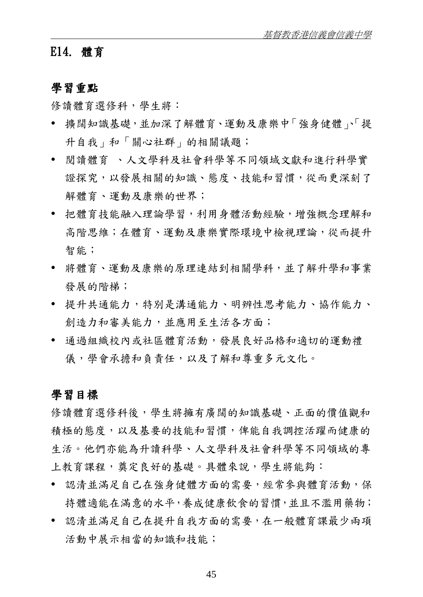#### E14. 體育

## 學習重點

修讀體育選修科,學生將:

- 擴闊知識基礎,並加深了解體育、運動及康樂中「強身健體」、「提 升自我」和「關心社群」的相關議題;
- 閱讀體育 、人文學科及社會科學等不同領域文獻和進行科學實 證探究,以發展相關的知識、態度、技能和習慣,從而更深刻了 解體育、運動及康樂的世界;
- 把體育技能融入理論學習,利用身體活動經驗,增強概念理解和 高階思維;在體育、運動及康樂實際環境中檢視理論,從而提升 智能;
- 將體育、運動及康樂的原理連結到相關學科,並了解升學和事業 發展的階梯;
- 提升共通能力,特別是溝通能力、明辨性思考能力、協作能力、 創造力和審美能力,並應用至生活各方面;
- 通過組織校內或社區體育活動,發展良好品格和適切的運動禮 儀,學會承擔和負責任,以及了解和尊重多元文化。

#### 學習目標

修讀體育選修科後,學生將擁有廣闊的知識基礎、正面的價值觀和 積極的態度,以及基要的技能和習慣,俾能自我調控活躍而健康的 生活。他們亦能為升讀科學、人文學科及社會科學等不同領域的專 上教育課程,奠定良好的基礎。具體來說,學生將能夠:

- 認清並滿足自己在強身健體方面的需要,經常參與體育活動,保 持體適能在滿意的水平,養成健康飲食的習慣,並且不濫用藥物;
- 認清並滿足自己在提升自我方面的需要,在一般體育課最少兩項 活動中展示相當的知識和技能;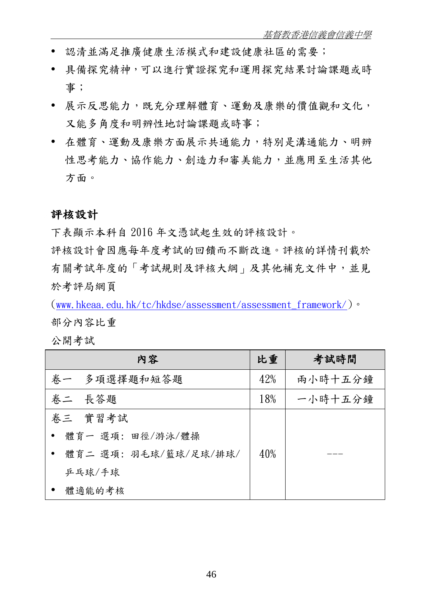- 認清並滿足推廣健康生活模式和建設健康社區的需要;
- 具備探究精神,可以進行實證探究和運用探究結果討論課題或時 事;
- 展示反思能力,既充分理解體育、運動及康樂的價值觀和文化, 又能多角度和明辨性地討論課題或時事;
- 在體育、運動及康樂方面展示共通能力,特別是溝通能力、明辨 性思考能力、協作能力、創造力和審美能力,並應用至生活其他 方面。

#### 評核設計

下表顯示本科自 2016 年文憑試起生效的評核設計。

評核設計會因應每年度考試的回饋而不斷改進。評核的詳情刊載於 有關考試年度的「考試規則及評核大綱」及其他補充文件中,並見 於考評局網頁

([www.hkeaa.edu.hk/tc/hkdse/assessment/assessment\\_framework/](http://www.hkeaa.edu.hk/tc/hkdse/assessment/assessment_framework/))。 部分內容比重

公開考試

| 内容                     | 比重  | 考試時間    |
|------------------------|-----|---------|
| 多項選擇題和短答題<br>卷一        | 42% | 兩小時十五分鐘 |
| 卷二 長答題                 | 18% | 一小時十五分鐘 |
| 卷三 實習考試                |     |         |
| ● 體育一 選項:田徑/游泳/體操      |     |         |
| • 體育二 選項:羽毛球/籃球/足球/排球/ | 40% |         |
| 乒乓球/手球                 |     |         |
| 體適能的考核<br>$\bullet$    |     |         |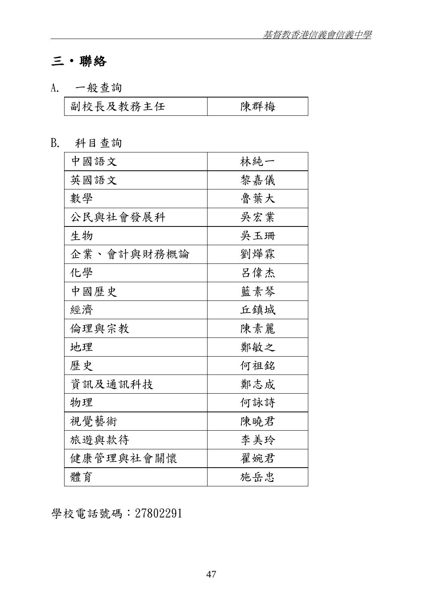# 三‧聯絡

A. 一般查詢

| 副校長及教務主任 | 陳群梅 |
|----------|-----|
|          |     |

B. 科目查詢

| 中國語文       | 林純一 |
|------------|-----|
| 英國語文       | 黎嘉儀 |
| 數學         | 魯葉大 |
| 公民與社會發展科   | 吳宏業 |
| 生物         | 吳玉珊 |
| 企業、會計與財務概論 | 劉燁霖 |
| 化學         | 呂偉杰 |
| 中國歷史       | 藍素琴 |
| 經濟         | 丘鎮城 |
| 倫理與宗教      | 陳素麗 |
| 地理         | 鄭敏之 |
| 歷史         | 何祖銘 |
| 資訊及通訊科技    | 鄭志成 |
| 物理         | 何詠詩 |
| 視覺藝術       | 陳曉君 |
| 旅遊與款待      | 李美玲 |
| 健康管理與社會關懷  | 翟婉君 |
| 體育         | 施岳忠 |

學校電話號碼:27802291